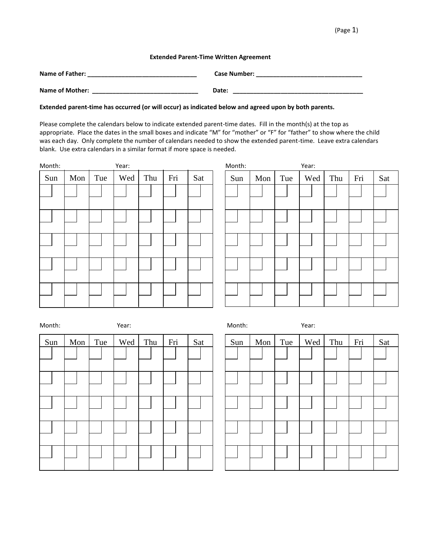## (Page 1)

## **Extended Parent-Time Written Agreement**

| Name of Father:        | <b>Case Number:</b> |
|------------------------|---------------------|
| <b>Name of Mother:</b> | Date:               |

**Extended parent-time has occurred (or will occur) as indicated below and agreed upon by both parents.**

Please complete the calendars below to indicate extended parent-time dates. Fill in the month(s) at the top as appropriate. Place the dates in the small boxes and indicate "M" for "mother" or "F" for "father" to show where the child was each day. Only complete the number of calendars needed to show the extended parent-time. Leave extra calendars blank. Use extra calendars in a similar format if more space is needed.

| Month: |     |     | Year: |     |     |     | Month: |             |     | Year: |     |     |     |
|--------|-----|-----|-------|-----|-----|-----|--------|-------------|-----|-------|-----|-----|-----|
| Sun    | Mon | Tue | Wed   | Thu | Fri | Sat | Sun    | Mon $\vert$ | Tue | Wed   | Thu | Fri | Sat |
|        |     |     |       |     |     |     |        |             |     |       |     |     |     |
|        |     |     |       |     |     |     |        |             |     |       |     |     |     |
|        |     |     |       |     |     |     |        |             |     |       |     |     |     |
|        |     |     |       |     |     |     |        |             |     |       |     |     |     |
|        |     |     |       |     |     |     |        |             |     |       |     |     |     |

| Month: |     |     | Year: |     |     |     | Month: |     |     | Year: |     |     |     |
|--------|-----|-----|-------|-----|-----|-----|--------|-----|-----|-------|-----|-----|-----|
| Sun    | Mon | Tue | Wed   | Thu | Fri | Sat | Sun    | Mon | Tue | Wed   | Thu | Fri | Sat |
|        |     |     |       |     |     |     |        |     |     |       |     |     |     |
|        |     |     |       |     |     |     |        |     |     |       |     |     |     |
|        |     |     |       |     |     |     |        |     |     |       |     |     |     |
|        |     |     |       |     |     |     |        |     |     |       |     |     |     |
|        |     |     |       |     |     |     |        |     |     |       |     |     |     |